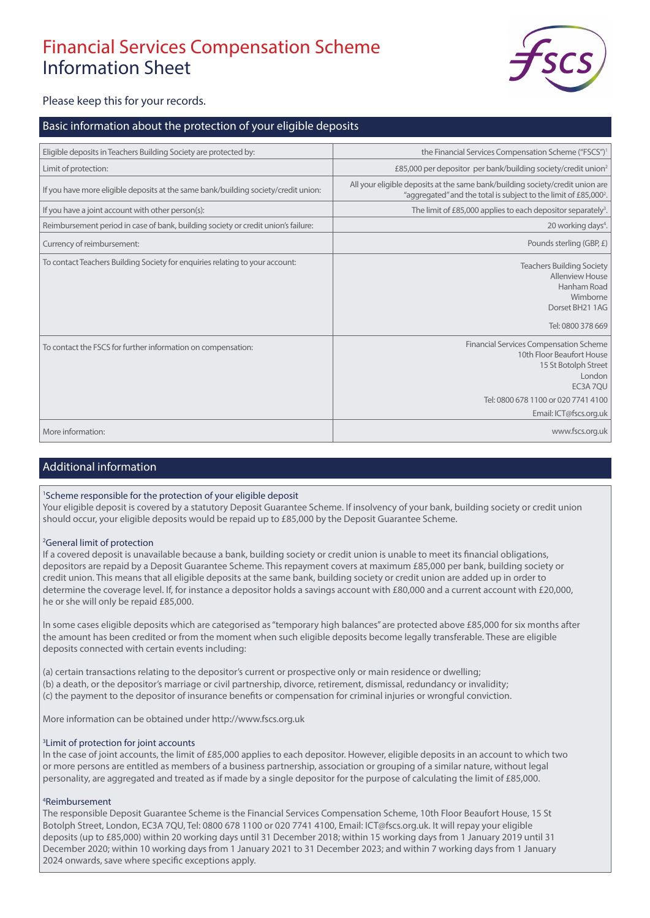# Financial Services Compensation Scheme Information Sheet



Please keep this for your records.

## Basic information about the protection of your eligible deposits

| Eligible deposits in Teachers Building Society are protected by:                   | the Financial Services Compensation Scheme ("FSCS") <sup>1</sup>                                                                                                                          |
|------------------------------------------------------------------------------------|-------------------------------------------------------------------------------------------------------------------------------------------------------------------------------------------|
| Limit of protection:                                                               | £85,000 per depositor per bank/building society/credit union <sup>2</sup>                                                                                                                 |
| If you have more eligible deposits at the same bank/building society/credit union: | All your eligible deposits at the same bank/building society/credit union are<br>"aggregated" and the total is subject to the limit of £85,000 <sup>2</sup> .                             |
| If you have a joint account with other person(s):                                  | The limit of £85,000 applies to each depositor separately <sup>3</sup> .                                                                                                                  |
| Reimbursement period in case of bank, building society or credit union's failure:  | 20 working days <sup>4</sup> .                                                                                                                                                            |
| Currency of reimbursement:                                                         | Pounds sterling (GBP, £)                                                                                                                                                                  |
| To contact Teachers Building Society for enquiries relating to your account:       | <b>Teachers Building Society</b><br><b>Allenview House</b><br>Hanham Road<br>Wimborne<br>Dorset BH21 1AG<br>Tel: 0800 378 669                                                             |
| To contact the FSCS for further information on compensation:                       | <b>Financial Services Compensation Scheme</b><br>10th Floor Beaufort House<br>15 St Botolph Street<br>London<br>EC3A 7QU<br>Tel: 0800 678 1100 or 020 7741 4100<br>Email: ICT@fscs.org.uk |
| More information:                                                                  | www.fscs.org.uk                                                                                                                                                                           |

## Additional information

### 1 Scheme responsible for the protection of your eligible deposit

Your eligible deposit is covered by a statutory Deposit Guarantee Scheme. If insolvency of your bank, building society or credit union should occur, your eligible deposits would be repaid up to £85,000 by the Deposit Guarantee Scheme.

#### <sup>2</sup>General limit of protection

If a covered deposit is unavailable because a bank, building society or credit union is unable to meet its financial obligations, depositors are repaid by a Deposit Guarantee Scheme. This repayment covers at maximum £85,000 per bank, building society or credit union. This means that all eligible deposits at the same bank, building society or credit union are added up in order to determine the coverage level. If, for instance a depositor holds a savings account with £80,000 and a current account with £20,000, he or she will only be repaid £85,000.

In some cases eligible deposits which are categorised as "temporary high balances" are protected above £85,000 for six months after the amount has been credited or from the moment when such eligible deposits become legally transferable. These are eligible deposits connected with certain events including:

(a) certain transactions relating to the depositor's current or prospective only or main residence or dwelling; (b) a death, or the depositor's marriage or civil partnership, divorce, retirement, dismissal, redundancy or invalidity; (c) the payment to the depositor of insurance benefits or compensation for criminal injuries or wrongful conviction.

More information can be obtained under http://www.fscs.org.uk

#### <sup>3</sup> Limit of protection for joint accounts

In the case of joint accounts, the limit of £85,000 applies to each depositor. However, eligible deposits in an account to which two or more persons are entitled as members of a business partnership, association or grouping of a similar nature, without legal personality, are aggregated and treated as if made by a single depositor for the purpose of calculating the limit of £85,000.

#### 4 Reimbursement

The responsible Deposit Guarantee Scheme is the Financial Services Compensation Scheme, 10th Floor Beaufort House, 15 St Botolph Street, London, EC3A 7QU, Tel: 0800 678 1100 or 020 7741 4100, Email: ICT@fscs.org.uk. It will repay your eligible deposits (up to £85,000) within 20 working days until 31 December 2018; within 15 working days from 1 January 2019 until 31 December 2020; within 10 working days from 1 January 2021 to 31 December 2023; and within 7 working days from 1 January 2024 onwards, save where specific exceptions apply.